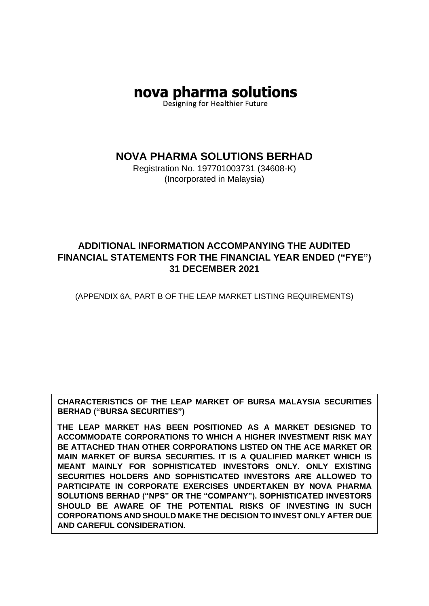# nova pharma solutions

Designing for Healthier Future

**NOVA PHARMA SOLUTIONS BERHAD**

Registration No. 197701003731 (34608-K) (Incorporated in Malaysia)

## **ADDITIONAL INFORMATION ACCOMPANYING THE AUDITED FINANCIAL STATEMENTS FOR THE FINANCIAL YEAR ENDED ("FYE") 31 DECEMBER 2021**

(APPENDIX 6A, PART B OF THE LEAP MARKET LISTING REQUIREMENTS)

**CHARACTERISTICS OF THE LEAP MARKET OF BURSA MALAYSIA SECURITIES BERHAD ("BURSA SECURITIES")**

**THE LEAP MARKET HAS BEEN POSITIONED AS A MARKET DESIGNED TO ACCOMMODATE CORPORATIONS TO WHICH A HIGHER INVESTMENT RISK MAY BE ATTACHED THAN OTHER CORPORATIONS LISTED ON THE ACE MARKET OR MAIN MARKET OF BURSA SECURITIES. IT IS A QUALIFIED MARKET WHICH IS MEANT MAINLY FOR SOPHISTICATED INVESTORS ONLY. ONLY EXISTING SECURITIES HOLDERS AND SOPHISTICATED INVESTORS ARE ALLOWED TO PARTICIPATE IN CORPORATE EXERCISES UNDERTAKEN BY NOVA PHARMA SOLUTIONS BERHAD ("NPS" OR THE "COMPANY"). SOPHISTICATED INVESTORS SHOULD BE AWARE OF THE POTENTIAL RISKS OF INVESTING IN SUCH CORPORATIONS AND SHOULD MAKE THE DECISION TO INVEST ONLY AFTER DUE AND CAREFUL CONSIDERATION.**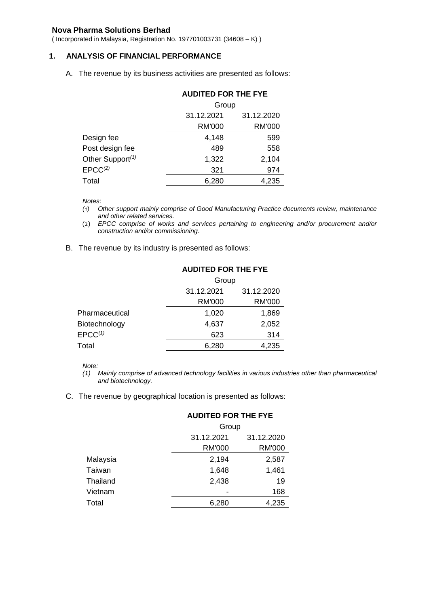#### **Nova Pharma Solutions Berhad**

( Incorporated in Malaysia, Registration No. 197701003731 (34608 – K) )

#### **1. ANALYSIS OF FINANCIAL PERFORMANCE**

A. The revenue by its business activities are presented as follows:

|                              | <b>AUDITED FOR THE FYE</b><br>Group |               |
|------------------------------|-------------------------------------|---------------|
|                              |                                     |               |
|                              | 31.12.2021                          | 31.12.2020    |
|                              | <b>RM'000</b>                       | <b>RM'000</b> |
| Design fee                   | 4,148                               | 599           |
| Post design fee              | 489                                 | 558           |
| Other Support <sup>(1)</sup> | 1,322                               | 2,104         |
| EPCC <sup>(2)</sup>          | 321                                 | 974           |
| Total                        | 6,280                               | 4,235         |

*Notes:*

- *(1) Other support mainly comprise of Good Manufacturing Practice documents review, maintenance and other related services.*
- (2) *EPCC comprise of works and services pertaining to engineering and/or procurement and/or construction and/or commissioning*.
- B. The revenue by its industry is presented as follows:

|                | <b>AUDITED FOR THE FYE</b><br>Group |            |
|----------------|-------------------------------------|------------|
|                |                                     |            |
|                | 31.12.2021                          | 31.12.2020 |
|                | RM'000                              | RM'000     |
| Pharmaceutical | 1,020                               | 1,869      |
| Biotechnology  | 4,637                               | 2,052      |
| $EPCC^{(1)}$   | 623                                 | 314        |
| Total          | 6,280                               | 4,235      |

*Note:*

*(1) Mainly comprise of advanced technology facilities in various industries other than pharmaceutical and biotechnology.*

C. The revenue by geographical location is presented as follows:

| AUDILED FOR THE FTE<br>Group |               |
|------------------------------|---------------|
|                              |               |
| <b>RM'000</b>                | <b>RM'000</b> |
| 2,194                        | 2,587         |
| 1,648                        | 1,461         |
| 2,438                        | 19            |
|                              | 168           |
| 6,280                        | 4,235         |
|                              |               |

### **AUDITED FOR THE FYE**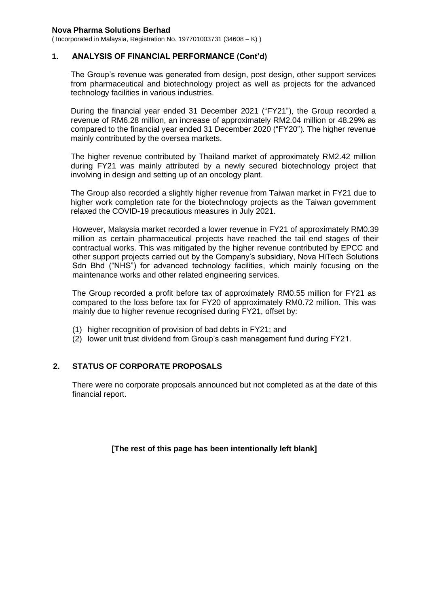#### **Nova Pharma Solutions Berhad**

( Incorporated in Malaysia, Registration No. 197701003731 (34608 – K) )

#### **1. ANALYSIS OF FINANCIAL PERFORMANCE (Cont'd)**

The Group's revenue was generated from design, post design, other support services from pharmaceutical and biotechnology project as well as projects for the advanced technology facilities in various industries.

During the financial year ended 31 December 2021 ("FY21"), the Group recorded a revenue of RM6.28 million, an increase of approximately RM2.04 million or 48.29% as compared to the financial year ended 31 December 2020 ("FY20"). The higher revenue mainly contributed by the oversea markets.

The higher revenue contributed by Thailand market of approximately RM2.42 million during FY21 was mainly attributed by a newly secured biotechnology project that involving in design and setting up of an oncology plant.

The Group also recorded a slightly higher revenue from Taiwan market in FY21 due to higher work completion rate for the biotechnology projects as the Taiwan government relaxed the COVID-19 precautious measures in July 2021.

However, Malaysia market recorded a lower revenue in FY21 of approximately RM0.39 million as certain pharmaceutical projects have reached the tail end stages of their contractual works. This was mitigated by the higher revenue contributed by EPCC and other support projects carried out by the Company's subsidiary, Nova HiTech Solutions Sdn Bhd ("NHS") for advanced technology facilities, which mainly focusing on the maintenance works and other related engineering services.

The Group recorded a profit before tax of approximately RM0.55 million for FY21 as compared to the loss before tax for FY20 of approximately RM0.72 million. This was mainly due to higher revenue recognised during FY21, offset by:

- (1) higher recognition of provision of bad debts in FY21; and
- (2) lower unit trust dividend from Group's cash management fund during FY21.

#### **2. STATUS OF CORPORATE PROPOSALS**

There were no corporate proposals announced but not completed as at the date of this financial report.

**[The rest of this page has been intentionally left blank]**